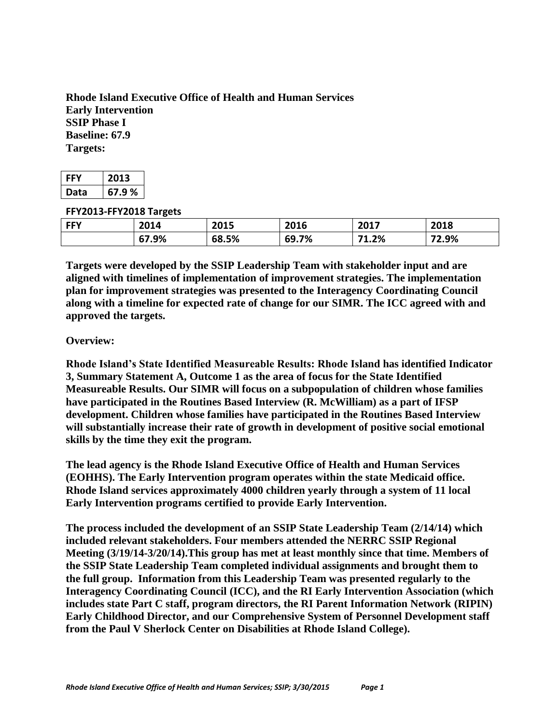**Rhode Island Executive Office of Health and Human Services Early Intervention SSIP Phase I Baseline: 67.9 Targets:**

| EE'  | 2013  |  |
|------|-------|--|
| Data | 67.9% |  |

#### **FFY2013-FFY2018 Targets**

|            | -     |       |       |            |       |
|------------|-------|-------|-------|------------|-------|
| <b>FFY</b> | 2014  | 2015  | 2016  | 2017       | 2018  |
|            | 67.9% | 68.5% | 69.7% | 1.2%<br>74 | 72.9% |

**Targets were developed by the SSIP Leadership Team with stakeholder input and are aligned with timelines of implementation of improvement strategies. The implementation plan for improvement strategies was presented to the Interagency Coordinating Council along with a timeline for expected rate of change for our SIMR. The ICC agreed with and approved the targets.** 

#### **Overview:**

**Rhode Island's State Identified Measureable Results: Rhode Island has identified Indicator 3, Summary Statement A, Outcome 1 as the area of focus for the State Identified Measureable Results. Our SIMR will focus on a subpopulation of children whose families have participated in the Routines Based Interview (R. McWilliam) as a part of IFSP development. Children whose families have participated in the Routines Based Interview will substantially increase their rate of growth in development of positive social emotional skills by the time they exit the program.**

**The lead agency is the Rhode Island Executive Office of Health and Human Services (EOHHS). The Early Intervention program operates within the state Medicaid office. Rhode Island services approximately 4000 children yearly through a system of 11 local Early Intervention programs certified to provide Early Intervention.**

**The process included the development of an SSIP State Leadership Team (2/14/14) which included relevant stakeholders. Four members attended the NERRC SSIP Regional Meeting (3/19/14-3/20/14).This group has met at least monthly since that time. Members of the SSIP State Leadership Team completed individual assignments and brought them to the full group. Information from this Leadership Team was presented regularly to the Interagency Coordinating Council (ICC), and the RI Early Intervention Association (which includes state Part C staff, program directors, the RI Parent Information Network (RIPIN) Early Childhood Director, and our Comprehensive System of Personnel Development staff from the Paul V Sherlock Center on Disabilities at Rhode Island College).**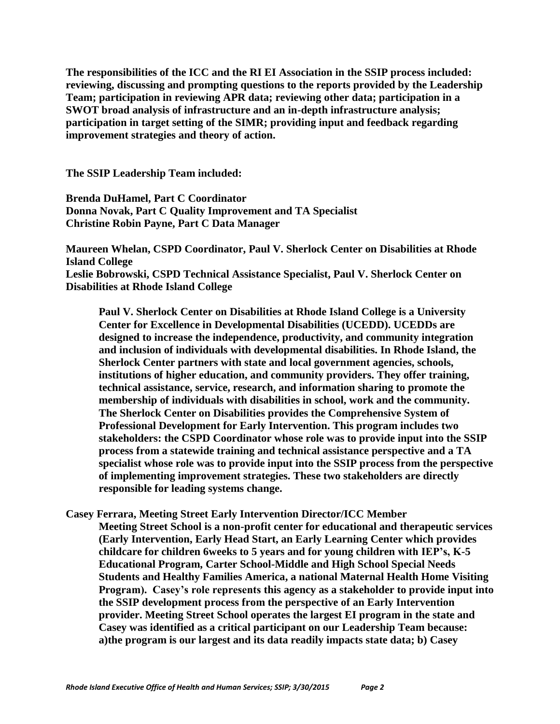**The responsibilities of the ICC and the RI EI Association in the SSIP process included: reviewing, discussing and prompting questions to the reports provided by the Leadership Team; participation in reviewing APR data; reviewing other data; participation in a SWOT broad analysis of infrastructure and an in-depth infrastructure analysis; participation in target setting of the SIMR; providing input and feedback regarding improvement strategies and theory of action.**

**The SSIP Leadership Team included:**

**Brenda DuHamel, Part C Coordinator Donna Novak, Part C Quality Improvement and TA Specialist Christine Robin Payne, Part C Data Manager**

**Maureen Whelan, CSPD Coordinator, Paul V. Sherlock Center on Disabilities at Rhode Island College Leslie Bobrowski, CSPD Technical Assistance Specialist, Paul V. Sherlock Center on Disabilities at Rhode Island College**

**Paul V. Sherlock Center on Disabilities at Rhode Island College is a University Center for Excellence in Developmental Disabilities (UCEDD). UCEDDs are designed to increase the independence, productivity, and community integration and inclusion of individuals with developmental disabilities. In Rhode Island, the Sherlock Center partners with state and local government agencies, schools, institutions of higher education, and community providers. They offer training, technical assistance, service, research, and information sharing to promote the membership of individuals with disabilities in school, work and the community. The Sherlock Center on Disabilities provides the Comprehensive System of Professional Development for Early Intervention. This program includes two stakeholders: the CSPD Coordinator whose role was to provide input into the SSIP process from a statewide training and technical assistance perspective and a TA specialist whose role was to provide input into the SSIP process from the perspective of implementing improvement strategies. These two stakeholders are directly responsible for leading systems change.**

**Casey Ferrara, Meeting Street Early Intervention Director/ICC Member Meeting Street School is a non-profit center for educational and therapeutic services (Early Intervention, Early Head Start, an Early Learning Center which provides childcare for children 6weeks to 5 years and for young children with IEP's, K-5 Educational Program, Carter School-Middle and High School Special Needs Students and Healthy Families America, a national Maternal Health Home Visiting Program). Casey's role represents this agency as a stakeholder to provide input into the SSIP development process from the perspective of an Early Intervention provider. Meeting Street School operates the largest EI program in the state and Casey was identified as a critical participant on our Leadership Team because: a)the program is our largest and its data readily impacts state data; b) Casey**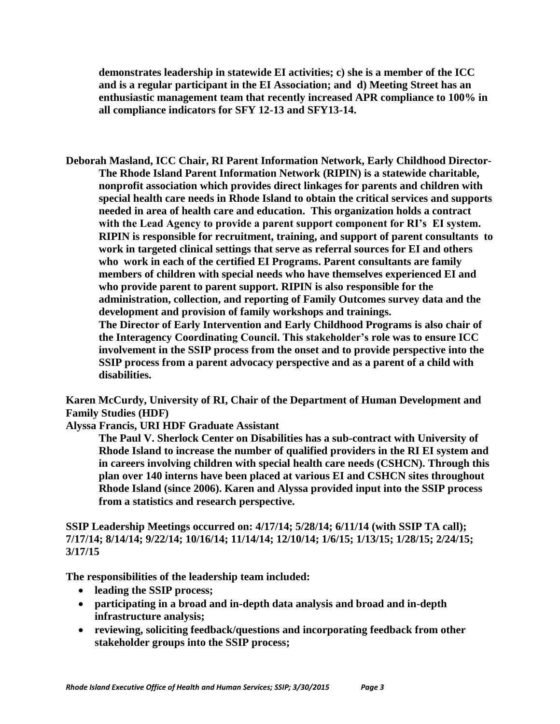**demonstrates leadership in statewide EI activities; c) she is a member of the ICC and is a regular participant in the EI Association; and d) Meeting Street has an enthusiastic management team that recently increased APR compliance to 100% in all compliance indicators for SFY 12-13 and SFY13-14.**

**Deborah Masland, ICC Chair, RI Parent Information Network, Early Childhood Director-The Rhode Island Parent Information Network (RIPIN) is a statewide charitable, nonprofit association which provides direct linkages for parents and children with special health care needs in Rhode Island to obtain the critical services and supports needed in area of health care and education. This organization holds a contract with the Lead Agency to provide a parent support component for RI's EI system. RIPIN is responsible for recruitment, training, and support of parent consultants to work in targeted clinical settings that serve as referral sources for EI and others who work in each of the certified EI Programs. Parent consultants are family members of children with special needs who have themselves experienced EI and who provide parent to parent support. RIPIN is also responsible for the administration, collection, and reporting of Family Outcomes survey data and the development and provision of family workshops and trainings. The Director of Early Intervention and Early Childhood Programs is also chair of the Interagency Coordinating Council. This stakeholder's role was to ensure ICC** 

**involvement in the SSIP process from the onset and to provide perspective into the SSIP process from a parent advocacy perspective and as a parent of a child with disabilities.** 

**Karen McCurdy, University of RI, Chair of the Department of Human Development and Family Studies (HDF)**

**Alyssa Francis, URI HDF Graduate Assistant**

**The Paul V. Sherlock Center on Disabilities has a sub-contract with University of Rhode Island to increase the number of qualified providers in the RI EI system and in careers involving children with special health care needs (CSHCN). Through this plan over 140 interns have been placed at various EI and CSHCN sites throughout Rhode Island (since 2006). Karen and Alyssa provided input into the SSIP process from a statistics and research perspective.**

**SSIP Leadership Meetings occurred on: 4/17/14; 5/28/14; 6/11/14 (with SSIP TA call); 7/17/14; 8/14/14; 9/22/14; 10/16/14; 11/14/14; 12/10/14; 1/6/15; 1/13/15; 1/28/15; 2/24/15; 3/17/15**

**The responsibilities of the leadership team included:** 

- **leading the SSIP process;**
- **participating in a broad and in-depth data analysis and broad and in-depth infrastructure analysis;**
- **reviewing, soliciting feedback/questions and incorporating feedback from other stakeholder groups into the SSIP process;**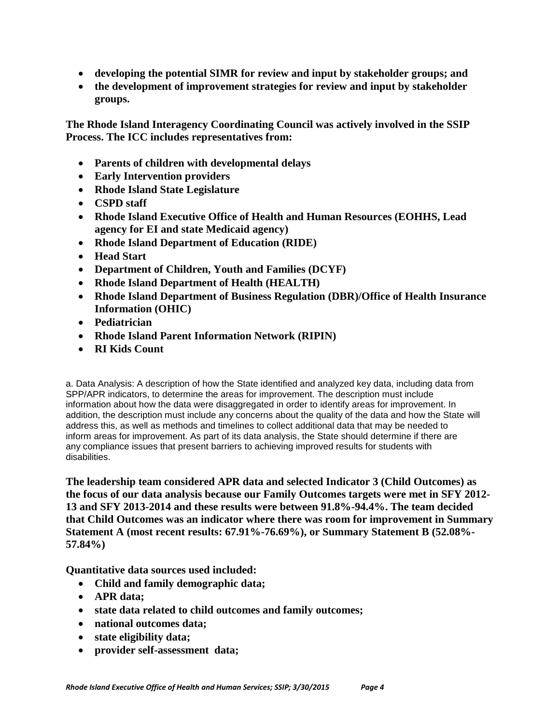- **developing the potential SIMR for review and input by stakeholder groups; and**
- **the development of improvement strategies for review and input by stakeholder groups.**

**The Rhode Island Interagency Coordinating Council was actively involved in the SSIP Process. The ICC includes representatives from:**

- **Parents of children with developmental delays**
- **Early Intervention providers**
- **Rhode Island State Legislature**
- **CSPD staff**
- **Rhode Island Executive Office of Health and Human Resources (EOHHS, Lead agency for EI and state Medicaid agency)**
- **Rhode Island Department of Education (RIDE)**
- **Head Start**
- **Department of Children, Youth and Families (DCYF)**
- **Rhode Island Department of Health (HEALTH)**
- **Rhode Island Department of Business Regulation (DBR)/Office of Health Insurance Information (OHIC)**
- **Pediatrician**
- **Rhode Island Parent Information Network (RIPIN)**
- **RI Kids Count**

a. Data Analysis: A description of how the State identified and analyzed key data, including data from SPP/APR indicators, to determine the areas for improvement. The description must include information about how the data were disaggregated in order to identify areas for improvement. In addition, the description must include any concerns about the quality of the data and how the State will address this, as well as methods and timelines to collect additional data that may be needed to inform areas for improvement. As part of its data analysis, the State should determine if there are any compliance issues that present barriers to achieving improved results for students with disabilities.

**The leadership team considered APR data and selected Indicator 3 (Child Outcomes) as the focus of our data analysis because our Family Outcomes targets were met in SFY 2012- 13 and SFY 2013-2014 and these results were between 91.8%-94.4%. The team decided that Child Outcomes was an indicator where there was room for improvement in Summary Statement A (most recent results: 67.91%-76.69%), or Summary Statement B (52.08%- 57.84%)**

**Quantitative data sources used included:** 

- **Child and family demographic data;**
- **APR data;**
- **state data related to child outcomes and family outcomes;**
- **national outcomes data;**
- **state eligibility data;**
- **provider self-assessment data;**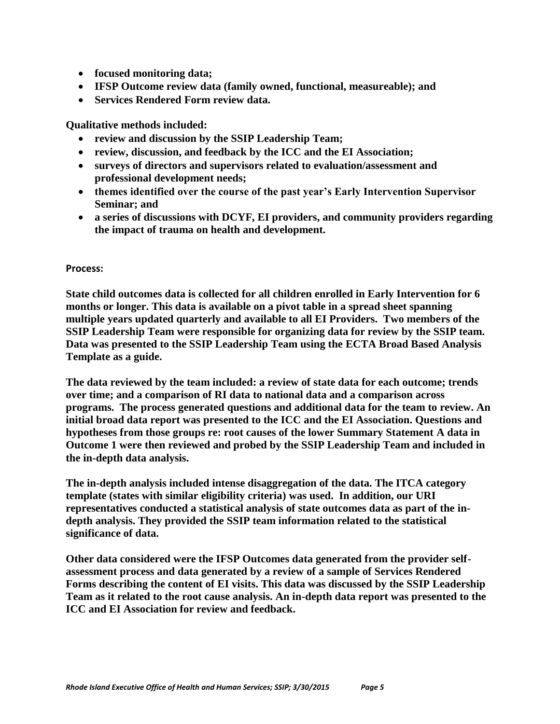- **focused monitoring data;**
- **IFSP Outcome review data (family owned, functional, measureable); and**
- **Services Rendered Form review data.**

**Qualitative methods included:** 

- **review and discussion by the SSIP Leadership Team;**
- **review, discussion, and feedback by the ICC and the EI Association;**
- **surveys of directors and supervisors related to evaluation/assessment and professional development needs;**
- **themes identified over the course of the past year's Early Intervention Supervisor Seminar; and**
- **a series of discussions with DCYF, EI providers, and community providers regarding the impact of trauma on health and development.**

#### **Process:**

**State child outcomes data is collected for all children enrolled in Early Intervention for 6 months or longer. This data is available on a pivot table in a spread sheet spanning multiple years updated quarterly and available to all EI Providers. Two members of the SSIP Leadership Team were responsible for organizing data for review by the SSIP team. Data was presented to the SSIP Leadership Team using the ECTA Broad Based Analysis Template as a guide.** 

**The data reviewed by the team included: a review of state data for each outcome; trends over time; and a comparison of RI data to national data and a comparison across programs. The process generated questions and additional data for the team to review. An initial broad data report was presented to the ICC and the EI Association. Questions and hypotheses from those groups re: root causes of the lower Summary Statement A data in Outcome 1 were then reviewed and probed by the SSIP Leadership Team and included in the in-depth data analysis.**

**The in-depth analysis included intense disaggregation of the data. The ITCA category template (states with similar eligibility criteria) was used. In addition, our URI representatives conducted a statistical analysis of state outcomes data as part of the indepth analysis. They provided the SSIP team information related to the statistical significance of data.** 

**Other data considered were the IFSP Outcomes data generated from the provider selfassessment process and data generated by a review of a sample of Services Rendered Forms describing the content of EI visits. This data was discussed by the SSIP Leadership Team as it related to the root cause analysis. An in-depth data report was presented to the ICC and EI Association for review and feedback.**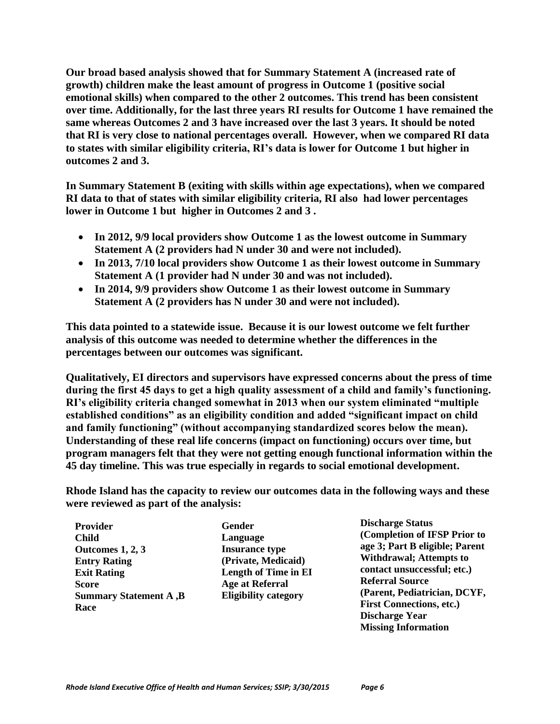**Our broad based analysis showed that for Summary Statement A (increased rate of growth) children make the least amount of progress in Outcome 1 (positive social emotional skills) when compared to the other 2 outcomes. This trend has been consistent over time. Additionally, for the last three years RI results for Outcome 1 have remained the same whereas Outcomes 2 and 3 have increased over the last 3 years. It should be noted that RI is very close to national percentages overall. However, when we compared RI data to states with similar eligibility criteria, RI's data is lower for Outcome 1 but higher in outcomes 2 and 3.** 

**In Summary Statement B (exiting with skills within age expectations), when we compared RI data to that of states with similar eligibility criteria, RI also had lower percentages lower in Outcome 1 but higher in Outcomes 2 and 3 .**

- **In 2012, 9/9 local providers show Outcome 1 as the lowest outcome in Summary Statement A (2 providers had N under 30 and were not included).**
- **In 2013, 7/10 local providers show Outcome 1 as their lowest outcome in Summary Statement A (1 provider had N under 30 and was not included).**
- **In 2014, 9/9 providers show Outcome 1 as their lowest outcome in Summary Statement A (2 providers has N under 30 and were not included).**

**This data pointed to a statewide issue. Because it is our lowest outcome we felt further analysis of this outcome was needed to determine whether the differences in the percentages between our outcomes was significant.**

**Qualitatively, EI directors and supervisors have expressed concerns about the press of time during the first 45 days to get a high quality assessment of a child and family's functioning. RI's eligibility criteria changed somewhat in 2013 when our system eliminated "multiple established conditions" as an eligibility condition and added "significant impact on child and family functioning" (without accompanying standardized scores below the mean). Understanding of these real life concerns (impact on functioning) occurs over time, but program managers felt that they were not getting enough functional information within the 45 day timeline. This was true especially in regards to social emotional development.**

**Rhode Island has the capacity to review our outcomes data in the following ways and these were reviewed as part of the analysis:**

**Provider Child Outcomes 1, 2, 3 Entry Rating Exit Rating Score Summary Statement A ,B Race**

**Gender Language Insurance type (Private, Medicaid) Length of Time in EI Age at Referral Eligibility category** 

**Discharge Status (Completion of IFSP Prior to age 3; Part B eligible; Parent Withdrawal; Attempts to contact unsuccessful; etc.) Referral Source (Parent, Pediatrician, DCYF, First Connections, etc.) Discharge Year Missing Information**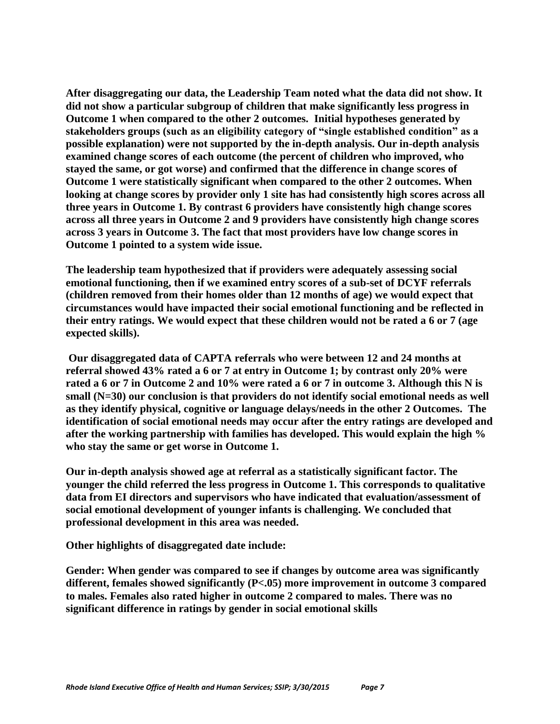**After disaggregating our data, the Leadership Team noted what the data did not show. It did not show a particular subgroup of children that make significantly less progress in Outcome 1 when compared to the other 2 outcomes. Initial hypotheses generated by stakeholders groups (such as an eligibility category of "single established condition" as a possible explanation) were not supported by the in-depth analysis. Our in-depth analysis examined change scores of each outcome (the percent of children who improved, who stayed the same, or got worse) and confirmed that the difference in change scores of Outcome 1 were statistically significant when compared to the other 2 outcomes. When looking at change scores by provider only 1 site has had consistently high scores across all three years in Outcome 1. By contrast 6 providers have consistently high change scores across all three years in Outcome 2 and 9 providers have consistently high change scores across 3 years in Outcome 3. The fact that most providers have low change scores in Outcome 1 pointed to a system wide issue.**

**The leadership team hypothesized that if providers were adequately assessing social emotional functioning, then if we examined entry scores of a sub-set of DCYF referrals (children removed from their homes older than 12 months of age) we would expect that circumstances would have impacted their social emotional functioning and be reflected in their entry ratings. We would expect that these children would not be rated a 6 or 7 (age expected skills).**

**Our disaggregated data of CAPTA referrals who were between 12 and 24 months at referral showed 43% rated a 6 or 7 at entry in Outcome 1; by contrast only 20% were rated a 6 or 7 in Outcome 2 and 10% were rated a 6 or 7 in outcome 3. Although this N is small (N=30) our conclusion is that providers do not identify social emotional needs as well as they identify physical, cognitive or language delays/needs in the other 2 Outcomes. The identification of social emotional needs may occur after the entry ratings are developed and after the working partnership with families has developed. This would explain the high % who stay the same or get worse in Outcome 1.**

**Our in-depth analysis showed age at referral as a statistically significant factor. The younger the child referred the less progress in Outcome 1. This corresponds to qualitative data from EI directors and supervisors who have indicated that evaluation/assessment of social emotional development of younger infants is challenging. We concluded that professional development in this area was needed.**

**Other highlights of disaggregated date include:**

**Gender: When gender was compared to see if changes by outcome area was significantly different, females showed significantly (P<.05) more improvement in outcome 3 compared to males. Females also rated higher in outcome 2 compared to males. There was no significant difference in ratings by gender in social emotional skills**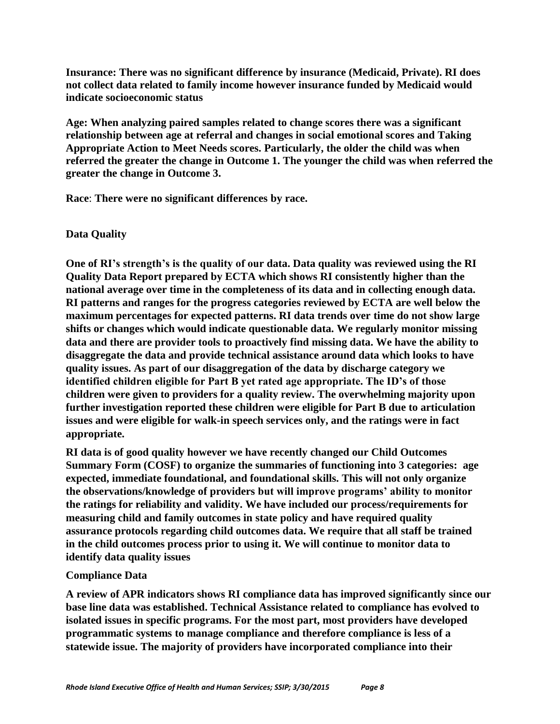**Insurance: There was no significant difference by insurance (Medicaid, Private). RI does not collect data related to family income however insurance funded by Medicaid would indicate socioeconomic status** 

**Age: When analyzing paired samples related to change scores there was a significant relationship between age at referral and changes in social emotional scores and Taking Appropriate Action to Meet Needs scores. Particularly, the older the child was when referred the greater the change in Outcome 1. The younger the child was when referred the greater the change in Outcome 3.**

**Race**: **There were no significant differences by race.**

### **Data Quality**

**One of RI's strength's is the quality of our data. Data quality was reviewed using the RI Quality Data Report prepared by ECTA which shows RI consistently higher than the national average over time in the completeness of its data and in collecting enough data. RI patterns and ranges for the progress categories reviewed by ECTA are well below the maximum percentages for expected patterns. RI data trends over time do not show large shifts or changes which would indicate questionable data. We regularly monitor missing data and there are provider tools to proactively find missing data. We have the ability to disaggregate the data and provide technical assistance around data which looks to have quality issues. As part of our disaggregation of the data by discharge category we identified children eligible for Part B yet rated age appropriate. The ID's of those children were given to providers for a quality review. The overwhelming majority upon further investigation reported these children were eligible for Part B due to articulation issues and were eligible for walk-in speech services only, and the ratings were in fact appropriate.**

**RI data is of good quality however we have recently changed our Child Outcomes Summary Form (COSF) to organize the summaries of functioning into 3 categories: age expected, immediate foundational, and foundational skills. This will not only organize the observations/knowledge of providers but will improve programs' ability to monitor the ratings for reliability and validity. We have included our process/requirements for measuring child and family outcomes in state policy and have required quality assurance protocols regarding child outcomes data. We require that all staff be trained in the child outcomes process prior to using it. We will continue to monitor data to identify data quality issues**

#### **Compliance Data**

**A review of APR indicators shows RI compliance data has improved significantly since our base line data was established. Technical Assistance related to compliance has evolved to isolated issues in specific programs. For the most part, most providers have developed programmatic systems to manage compliance and therefore compliance is less of a statewide issue. The majority of providers have incorporated compliance into their**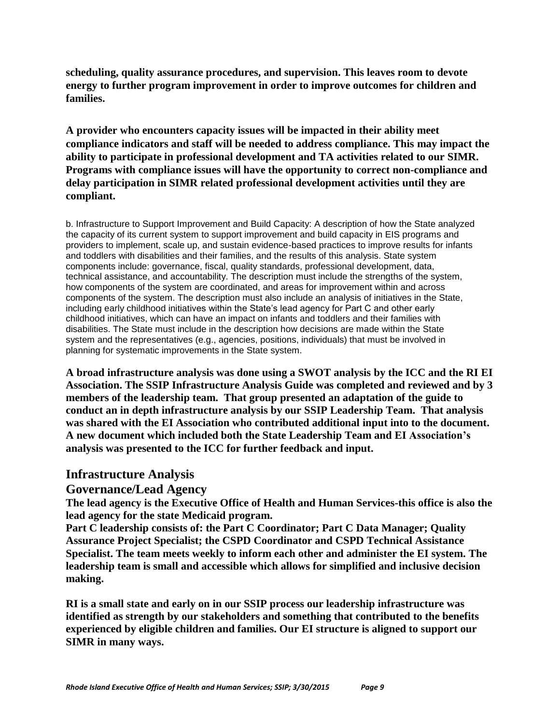**scheduling, quality assurance procedures, and supervision. This leaves room to devote energy to further program improvement in order to improve outcomes for children and families.**

**A provider who encounters capacity issues will be impacted in their ability meet compliance indicators and staff will be needed to address compliance. This may impact the ability to participate in professional development and TA activities related to our SIMR. Programs with compliance issues will have the opportunity to correct non-compliance and delay participation in SIMR related professional development activities until they are compliant.**

b. Infrastructure to Support Improvement and Build Capacity: A description of how the State analyzed the capacity of its current system to support improvement and build capacity in EIS programs and providers to implement, scale up, and sustain evidence-based practices to improve results for infants and toddlers with disabilities and their families, and the results of this analysis. State system components include: governance, fiscal, quality standards, professional development, data, technical assistance, and accountability. The description must include the strengths of the system, how components of the system are coordinated, and areas for improvement within and across components of the system. The description must also include an analysis of initiatives in the State, including early childhood initiatives within the State's lead agency for Part C and other early childhood initiatives, which can have an impact on infants and toddlers and their families with disabilities. The State must include in the description how decisions are made within the State system and the representatives (e.g., agencies, positions, individuals) that must be involved in planning for systematic improvements in the State system.

**A broad infrastructure analysis was done using a SWOT analysis by the ICC and the RI EI Association. The SSIP Infrastructure Analysis Guide was completed and reviewed and by 3 members of the leadership team. That group presented an adaptation of the guide to conduct an in depth infrastructure analysis by our SSIP Leadership Team. That analysis was shared with the EI Association who contributed additional input into to the document. A new document which included both the State Leadership Team and EI Association's analysis was presented to the ICC for further feedback and input.** 

# **Infrastructure Analysis**

# **Governance/Lead Agency**

**The lead agency is the Executive Office of Health and Human Services-this office is also the lead agency for the state Medicaid program.**

**Part C leadership consists of: the Part C Coordinator; Part C Data Manager; Quality Assurance Project Specialist; the CSPD Coordinator and CSPD Technical Assistance Specialist. The team meets weekly to inform each other and administer the EI system. The leadership team is small and accessible which allows for simplified and inclusive decision making.**

**RI is a small state and early on in our SSIP process our leadership infrastructure was identified as strength by our stakeholders and something that contributed to the benefits experienced by eligible children and families. Our EI structure is aligned to support our SIMR in many ways.**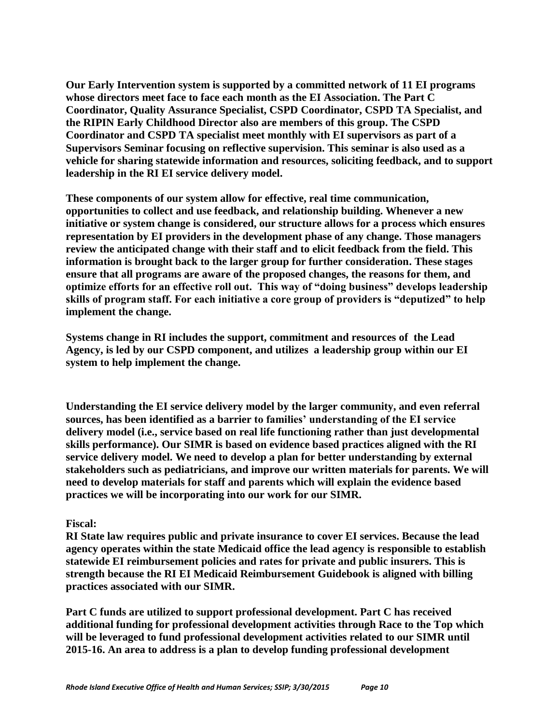**Our Early Intervention system is supported by a committed network of 11 EI programs whose directors meet face to face each month as the EI Association. The Part C Coordinator, Quality Assurance Specialist, CSPD Coordinator, CSPD TA Specialist, and the RIPIN Early Childhood Director also are members of this group. The CSPD Coordinator and CSPD TA specialist meet monthly with EI supervisors as part of a Supervisors Seminar focusing on reflective supervision. This seminar is also used as a vehicle for sharing statewide information and resources, soliciting feedback, and to support leadership in the RI EI service delivery model.** 

**These components of our system allow for effective, real time communication, opportunities to collect and use feedback, and relationship building. Whenever a new initiative or system change is considered, our structure allows for a process which ensures representation by EI providers in the development phase of any change. Those managers review the anticipated change with their staff and to elicit feedback from the field. This information is brought back to the larger group for further consideration. These stages ensure that all programs are aware of the proposed changes, the reasons for them, and optimize efforts for an effective roll out. This way of "doing business" develops leadership skills of program staff. For each initiative a core group of providers is "deputized" to help implement the change.** 

**Systems change in RI includes the support, commitment and resources of the Lead Agency, is led by our CSPD component, and utilizes a leadership group within our EI system to help implement the change.**

**Understanding the EI service delivery model by the larger community, and even referral sources, has been identified as a barrier to families' understanding of the EI service delivery model (i.e., service based on real life functioning rather than just developmental skills performance). Our SIMR is based on evidence based practices aligned with the RI service delivery model. We need to develop a plan for better understanding by external stakeholders such as pediatricians, and improve our written materials for parents. We will need to develop materials for staff and parents which will explain the evidence based practices we will be incorporating into our work for our SIMR.**

#### **Fiscal:**

**RI State law requires public and private insurance to cover EI services. Because the lead agency operates within the state Medicaid office the lead agency is responsible to establish statewide EI reimbursement policies and rates for private and public insurers. This is strength because the RI EI Medicaid Reimbursement Guidebook is aligned with billing practices associated with our SIMR.**

**Part C funds are utilized to support professional development. Part C has received additional funding for professional development activities through Race to the Top which will be leveraged to fund professional development activities related to our SIMR until 2015-16. An area to address is a plan to develop funding professional development**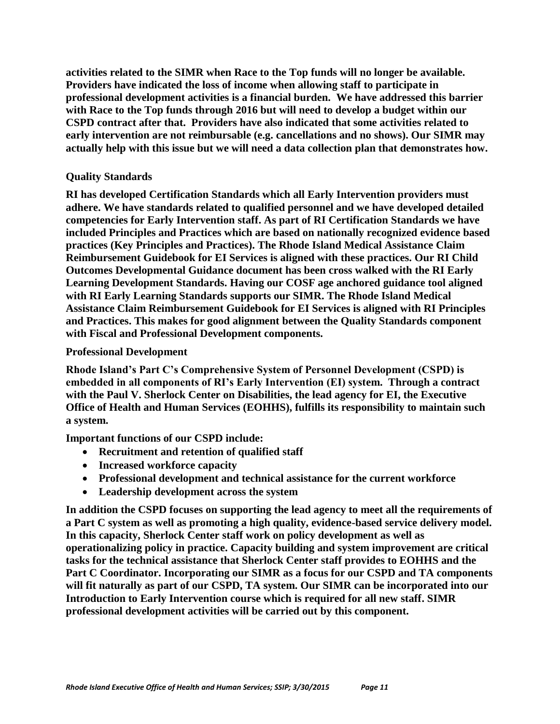**activities related to the SIMR when Race to the Top funds will no longer be available. Providers have indicated the loss of income when allowing staff to participate in professional development activities is a financial burden. We have addressed this barrier with Race to the Top funds through 2016 but will need to develop a budget within our CSPD contract after that. Providers have also indicated that some activities related to early intervention are not reimbursable (e.g. cancellations and no shows). Our SIMR may actually help with this issue but we will need a data collection plan that demonstrates how.** 

#### **Quality Standards**

**RI has developed Certification Standards which all Early Intervention providers must adhere. We have standards related to qualified personnel and we have developed detailed competencies for Early Intervention staff. As part of RI Certification Standards we have included Principles and Practices which are based on nationally recognized evidence based practices (Key Principles and Practices). The Rhode Island Medical Assistance Claim Reimbursement Guidebook for EI Services is aligned with these practices. Our RI Child Outcomes Developmental Guidance document has been cross walked with the RI Early Learning Development Standards. Having our COSF age anchored guidance tool aligned with RI Early Learning Standards supports our SIMR. The Rhode Island Medical Assistance Claim Reimbursement Guidebook for EI Services is aligned with RI Principles and Practices. This makes for good alignment between the Quality Standards component with Fiscal and Professional Development components.** 

#### **Professional Development**

**Rhode Island's Part C's Comprehensive System of Personnel Development (CSPD) is embedded in all components of RI's Early Intervention (EI) system. Through a contract with the Paul V. Sherlock Center on Disabilities, the lead agency for EI, the Executive Office of Health and Human Services (EOHHS), fulfills its responsibility to maintain such a system.** 

**Important functions of our CSPD include:**

- **Recruitment and retention of qualified staff**
- **Increased workforce capacity**
- **Professional development and technical assistance for the current workforce**
- **Leadership development across the system**

**In addition the CSPD focuses on supporting the lead agency to meet all the requirements of a Part C system as well as promoting a high quality, evidence-based service delivery model. In this capacity, Sherlock Center staff work on policy development as well as operationalizing policy in practice. Capacity building and system improvement are critical tasks for the technical assistance that Sherlock Center staff provides to EOHHS and the Part C Coordinator. Incorporating our SIMR as a focus for our CSPD and TA components will fit naturally as part of our CSPD, TA system. Our SIMR can be incorporated into our Introduction to Early Intervention course which is required for all new staff. SIMR professional development activities will be carried out by this component.**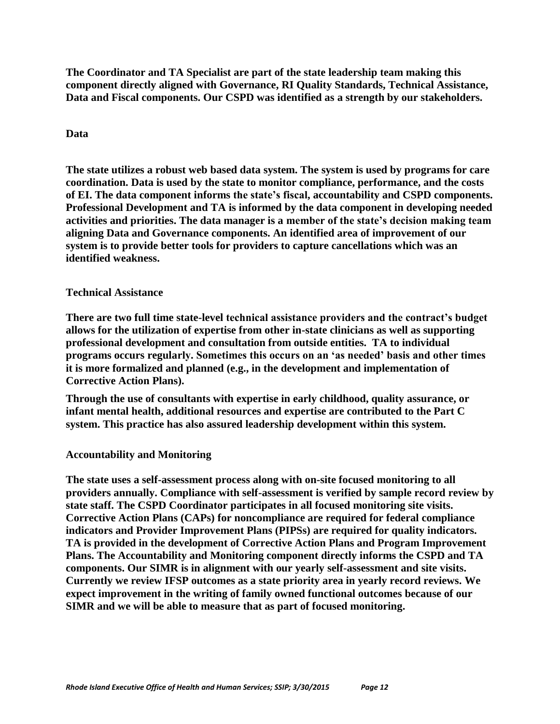**The Coordinator and TA Specialist are part of the state leadership team making this component directly aligned with Governance, RI Quality Standards, Technical Assistance, Data and Fiscal components. Our CSPD was identified as a strength by our stakeholders.** 

### **Data**

**The state utilizes a robust web based data system. The system is used by programs for care coordination. Data is used by the state to monitor compliance, performance, and the costs of EI. The data component informs the state's fiscal, accountability and CSPD components. Professional Development and TA is informed by the data component in developing needed activities and priorities. The data manager is a member of the state's decision making team aligning Data and Governance components. An identified area of improvement of our system is to provide better tools for providers to capture cancellations which was an identified weakness.**

#### **Technical Assistance**

**There are two full time state-level technical assistance providers and the contract's budget allows for the utilization of expertise from other in-state clinicians as well as supporting professional development and consultation from outside entities. TA to individual programs occurs regularly. Sometimes this occurs on an 'as needed' basis and other times it is more formalized and planned (e.g., in the development and implementation of Corrective Action Plans).**

**Through the use of consultants with expertise in early childhood, quality assurance, or infant mental health, additional resources and expertise are contributed to the Part C system. This practice has also assured leadership development within this system.**

#### **Accountability and Monitoring**

**The state uses a self-assessment process along with on-site focused monitoring to all providers annually. Compliance with self-assessment is verified by sample record review by state staff. The CSPD Coordinator participates in all focused monitoring site visits. Corrective Action Plans (CAPs) for noncompliance are required for federal compliance indicators and Provider Improvement Plans (PIPSs) are required for quality indicators. TA is provided in the development of Corrective Action Plans and Program Improvement Plans. The Accountability and Monitoring component directly informs the CSPD and TA components. Our SIMR is in alignment with our yearly self-assessment and site visits. Currently we review IFSP outcomes as a state priority area in yearly record reviews. We expect improvement in the writing of family owned functional outcomes because of our SIMR and we will be able to measure that as part of focused monitoring.**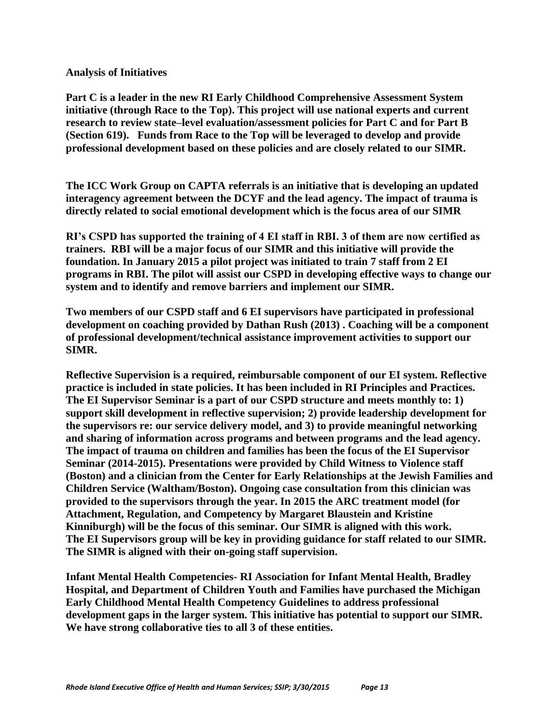#### **Analysis of Initiatives**

**Part C is a leader in the new RI Early Childhood Comprehensive Assessment System initiative (through Race to the Top). This project will use national experts and current research to review state–level evaluation/assessment policies for Part C and for Part B (Section 619). Funds from Race to the Top will be leveraged to develop and provide professional development based on these policies and are closely related to our SIMR.**

**The ICC Work Group on CAPTA referrals is an initiative that is developing an updated interagency agreement between the DCYF and the lead agency. The impact of trauma is directly related to social emotional development which is the focus area of our SIMR** 

**RI's CSPD has supported the training of 4 EI staff in RBI. 3 of them are now certified as trainers. RBI will be a major focus of our SIMR and this initiative will provide the foundation. In January 2015 a pilot project was initiated to train 7 staff from 2 EI programs in RBI. The pilot will assist our CSPD in developing effective ways to change our system and to identify and remove barriers and implement our SIMR.**

**Two members of our CSPD staff and 6 EI supervisors have participated in professional development on coaching provided by Dathan Rush (2013) . Coaching will be a component of professional development/technical assistance improvement activities to support our SIMR.** 

**Reflective Supervision is a required, reimbursable component of our EI system. Reflective practice is included in state policies. It has been included in RI Principles and Practices. The EI Supervisor Seminar is a part of our CSPD structure and meets monthly to: 1) support skill development in reflective supervision; 2) provide leadership development for the supervisors re: our service delivery model, and 3) to provide meaningful networking and sharing of information across programs and between programs and the lead agency. The impact of trauma on children and families has been the focus of the EI Supervisor Seminar (2014-2015). Presentations were provided by Child Witness to Violence staff (Boston) and a clinician from the Center for Early Relationships at the Jewish Families and Children Service (Waltham/Boston). Ongoing case consultation from this clinician was provided to the supervisors through the year. In 2015 the ARC treatment model (for Attachment, Regulation, and Competency by Margaret Blaustein and Kristine Kinniburgh) will be the focus of this seminar. Our SIMR is aligned with this work. The EI Supervisors group will be key in providing guidance for staff related to our SIMR. The SIMR is aligned with their on-going staff supervision.**

**Infant Mental Health Competencies- RI Association for Infant Mental Health, Bradley Hospital, and Department of Children Youth and Families have purchased the Michigan Early Childhood Mental Health Competency Guidelines to address professional development gaps in the larger system. This initiative has potential to support our SIMR. We have strong collaborative ties to all 3 of these entities.**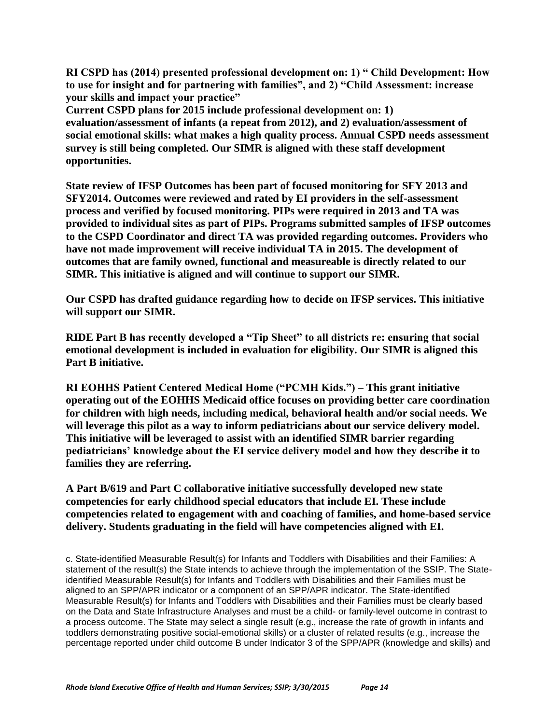**RI CSPD has (2014) presented professional development on: 1) " Child Development: How to use for insight and for partnering with families", and 2) "Child Assessment: increase your skills and impact your practice"**

**Current CSPD plans for 2015 include professional development on: 1) evaluation/assessment of infants (a repeat from 2012), and 2) evaluation/assessment of social emotional skills: what makes a high quality process. Annual CSPD needs assessment survey is still being completed. Our SIMR is aligned with these staff development opportunities.**

**State review of IFSP Outcomes has been part of focused monitoring for SFY 2013 and SFY2014. Outcomes were reviewed and rated by EI providers in the self-assessment process and verified by focused monitoring. PIPs were required in 2013 and TA was provided to individual sites as part of PIPs. Programs submitted samples of IFSP outcomes to the CSPD Coordinator and direct TA was provided regarding outcomes. Providers who have not made improvement will receive individual TA in 2015. The development of outcomes that are family owned, functional and measureable is directly related to our SIMR. This initiative is aligned and will continue to support our SIMR.**

**Our CSPD has drafted guidance regarding how to decide on IFSP services. This initiative will support our SIMR.**

**RIDE Part B has recently developed a "Tip Sheet" to all districts re: ensuring that social emotional development is included in evaluation for eligibility. Our SIMR is aligned this Part B initiative.** 

**RI EOHHS Patient Centered Medical Home ("PCMH Kids.") – This grant initiative operating out of the EOHHS Medicaid office focuses on providing better care coordination for children with high needs, including medical, behavioral health and/or social needs. We will leverage this pilot as a way to inform pediatricians about our service delivery model. This initiative will be leveraged to assist with an identified SIMR barrier regarding pediatricians' knowledge about the EI service delivery model and how they describe it to families they are referring.**

**A Part B/619 and Part C collaborative initiative successfully developed new state competencies for early childhood special educators that include EI. These include competencies related to engagement with and coaching of families, and home-based service delivery. Students graduating in the field will have competencies aligned with EI.**

c. State-identified Measurable Result(s) for Infants and Toddlers with Disabilities and their Families: A statement of the result(s) the State intends to achieve through the implementation of the SSIP. The Stateidentified Measurable Result(s) for Infants and Toddlers with Disabilities and their Families must be aligned to an SPP/APR indicator or a component of an SPP/APR indicator. The State-identified Measurable Result(s) for Infants and Toddlers with Disabilities and their Families must be clearly based on the Data and State Infrastructure Analyses and must be a child- or family-level outcome in contrast to a process outcome. The State may select a single result (e.g., increase the rate of growth in infants and toddlers demonstrating positive social-emotional skills) or a cluster of related results (e.g., increase the percentage reported under child outcome B under Indicator 3 of the SPP/APR (knowledge and skills) and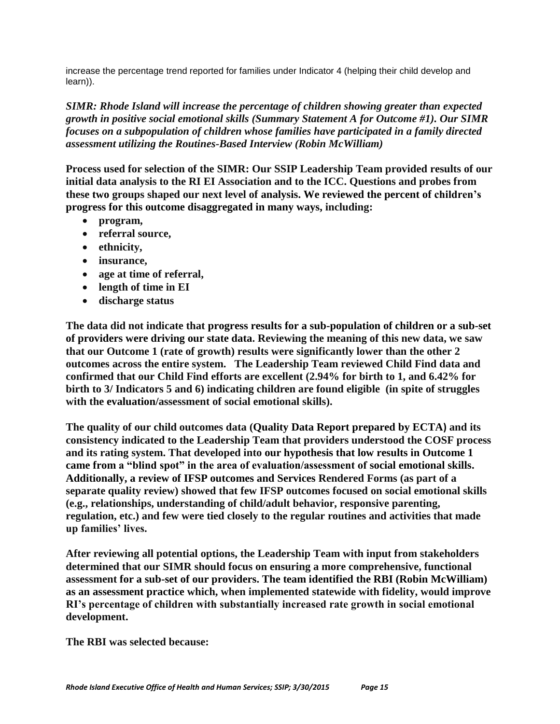increase the percentage trend reported for families under Indicator 4 (helping their child develop and learn)).

*SIMR: Rhode Island will increase the percentage of children showing greater than expected growth in positive social emotional skills (Summary Statement A for Outcome #1). Our SIMR focuses on a subpopulation of children whose families have participated in a family directed assessment utilizing the Routines-Based Interview (Robin McWilliam)*

**Process used for selection of the SIMR: Our SSIP Leadership Team provided results of our initial data analysis to the RI EI Association and to the ICC. Questions and probes from these two groups shaped our next level of analysis. We reviewed the percent of children's progress for this outcome disaggregated in many ways, including:**

- **program,**
- **referral source,**
- **ethnicity,**
- **insurance,**
- **age at time of referral,**
- **length of time in EI**
- **discharge status**

**The data did not indicate that progress results for a sub-population of children or a sub-set of providers were driving our state data. Reviewing the meaning of this new data, we saw that our Outcome 1 (rate of growth) results were significantly lower than the other 2 outcomes across the entire system. The Leadership Team reviewed Child Find data and confirmed that our Child Find efforts are excellent (2.94% for birth to 1, and 6.42% for birth to 3/ Indicators 5 and 6) indicating children are found eligible (in spite of struggles with the evaluation/assessment of social emotional skills).** 

**The quality of our child outcomes data (Quality Data Report prepared by ECTA) and its consistency indicated to the Leadership Team that providers understood the COSF process and its rating system. That developed into our hypothesis that low results in Outcome 1 came from a "blind spot" in the area of evaluation/assessment of social emotional skills. Additionally, a review of IFSP outcomes and Services Rendered Forms (as part of a separate quality review) showed that few IFSP outcomes focused on social emotional skills (e.g., relationships, understanding of child/adult behavior, responsive parenting, regulation, etc.) and few were tied closely to the regular routines and activities that made up families' lives.**

**After reviewing all potential options, the Leadership Team with input from stakeholders determined that our SIMR should focus on ensuring a more comprehensive, functional assessment for a sub-set of our providers. The team identified the RBI (Robin McWilliam) as an assessment practice which, when implemented statewide with fidelity, would improve RI's percentage of children with substantially increased rate growth in social emotional development.** 

**The RBI was selected because:**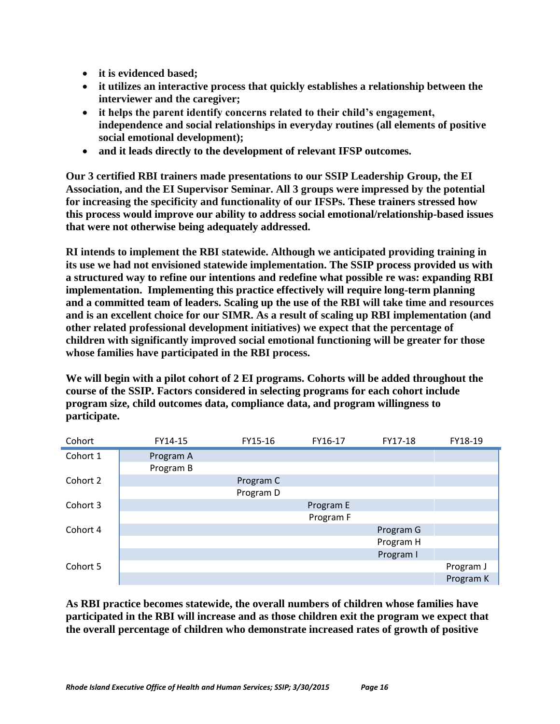- **it is evidenced based;**
- **it utilizes an interactive process that quickly establishes a relationship between the interviewer and the caregiver;**
- **it helps the parent identify concerns related to their child's engagement, independence and social relationships in everyday routines (all elements of positive social emotional development);**
- **and it leads directly to the development of relevant IFSP outcomes.**

**Our 3 certified RBI trainers made presentations to our SSIP Leadership Group, the EI Association, and the EI Supervisor Seminar. All 3 groups were impressed by the potential for increasing the specificity and functionality of our IFSPs. These trainers stressed how this process would improve our ability to address social emotional/relationship-based issues that were not otherwise being adequately addressed.**

**RI intends to implement the RBI statewide. Although we anticipated providing training in its use we had not envisioned statewide implementation. The SSIP process provided us with a structured way to refine our intentions and redefine what possible re was: expanding RBI implementation. Implementing this practice effectively will require long-term planning and a committed team of leaders. Scaling up the use of the RBI will take time and resources and is an excellent choice for our SIMR. As a result of scaling up RBI implementation (and other related professional development initiatives) we expect that the percentage of children with significantly improved social emotional functioning will be greater for those whose families have participated in the RBI process.** 

**We will begin with a pilot cohort of 2 EI programs. Cohorts will be added throughout the course of the SSIP. Factors considered in selecting programs for each cohort include program size, child outcomes data, compliance data, and program willingness to participate.**

| Cohort   | FY14-15   | FY15-16   | FY16-17   | FY17-18   | FY18-19   |
|----------|-----------|-----------|-----------|-----------|-----------|
| Cohort 1 | Program A |           |           |           |           |
|          | Program B |           |           |           |           |
| Cohort 2 |           | Program C |           |           |           |
|          |           | Program D |           |           |           |
| Cohort 3 |           |           | Program E |           |           |
|          |           |           | Program F |           |           |
| Cohort 4 |           |           |           | Program G |           |
|          |           |           |           | Program H |           |
|          |           |           |           | Program I |           |
| Cohort 5 |           |           |           |           | Program J |
|          |           |           |           |           | Program K |

**As RBI practice becomes statewide, the overall numbers of children whose families have participated in the RBI will increase and as those children exit the program we expect that the overall percentage of children who demonstrate increased rates of growth of positive**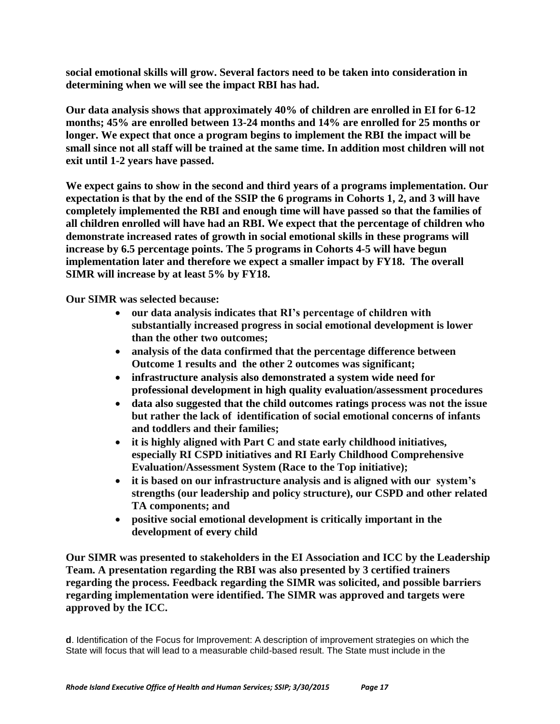**social emotional skills will grow. Several factors need to be taken into consideration in determining when we will see the impact RBI has had.**

**Our data analysis shows that approximately 40% of children are enrolled in EI for 6-12 months; 45% are enrolled between 13-24 months and 14% are enrolled for 25 months or longer. We expect that once a program begins to implement the RBI the impact will be small since not all staff will be trained at the same time. In addition most children will not exit until 1-2 years have passed.** 

**We expect gains to show in the second and third years of a programs implementation. Our expectation is that by the end of the SSIP the 6 programs in Cohorts 1, 2, and 3 will have completely implemented the RBI and enough time will have passed so that the families of all children enrolled will have had an RBI. We expect that the percentage of children who demonstrate increased rates of growth in social emotional skills in these programs will increase by 6.5 percentage points. The 5 programs in Cohorts 4-5 will have begun implementation later and therefore we expect a smaller impact by FY18. The overall SIMR will increase by at least 5% by FY18.**

**Our SIMR was selected because:**

- **our data analysis indicates that RI's percentage of children with substantially increased progress in social emotional development is lower than the other two outcomes;**
- **analysis of the data confirmed that the percentage difference between Outcome 1 results and the other 2 outcomes was significant;**
- **infrastructure analysis also demonstrated a system wide need for professional development in high quality evaluation/assessment procedures**
- **data also suggested that the child outcomes ratings process was not the issue but rather the lack of identification of social emotional concerns of infants and toddlers and their families;**
- **it is highly aligned with Part C and state early childhood initiatives, especially RI CSPD initiatives and RI Early Childhood Comprehensive Evaluation/Assessment System (Race to the Top initiative);**
- **it is based on our infrastructure analysis and is aligned with our system's strengths (our leadership and policy structure), our CSPD and other related TA components; and**
- **positive social emotional development is critically important in the development of every child**

**Our SIMR was presented to stakeholders in the EI Association and ICC by the Leadership Team. A presentation regarding the RBI was also presented by 3 certified trainers regarding the process. Feedback regarding the SIMR was solicited, and possible barriers regarding implementation were identified. The SIMR was approved and targets were approved by the ICC.**

**d**. Identification of the Focus for Improvement: A description of improvement strategies on which the State will focus that will lead to a measurable child-based result. The State must include in the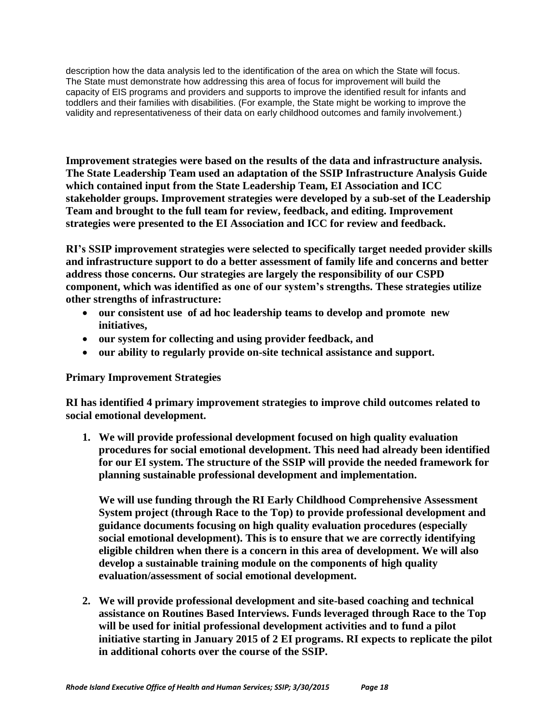description how the data analysis led to the identification of the area on which the State will focus. The State must demonstrate how addressing this area of focus for improvement will build the capacity of EIS programs and providers and supports to improve the identified result for infants and toddlers and their families with disabilities. (For example, the State might be working to improve the validity and representativeness of their data on early childhood outcomes and family involvement.)

**Improvement strategies were based on the results of the data and infrastructure analysis. The State Leadership Team used an adaptation of the SSIP Infrastructure Analysis Guide which contained input from the State Leadership Team, EI Association and ICC stakeholder groups. Improvement strategies were developed by a sub-set of the Leadership Team and brought to the full team for review, feedback, and editing. Improvement strategies were presented to the EI Association and ICC for review and feedback.**

**RI's SSIP improvement strategies were selected to specifically target needed provider skills and infrastructure support to do a better assessment of family life and concerns and better address those concerns. Our strategies are largely the responsibility of our CSPD component, which was identified as one of our system's strengths. These strategies utilize other strengths of infrastructure:** 

- **our consistent use of ad hoc leadership teams to develop and promote new initiatives,**
- **our system for collecting and using provider feedback, and**
- **our ability to regularly provide on-site technical assistance and support.**

### **Primary Improvement Strategies**

**RI has identified 4 primary improvement strategies to improve child outcomes related to social emotional development.** 

**1. We will provide professional development focused on high quality evaluation procedures for social emotional development. This need had already been identified for our EI system. The structure of the SSIP will provide the needed framework for planning sustainable professional development and implementation.** 

**We will use funding through the RI Early Childhood Comprehensive Assessment System project (through Race to the Top) to provide professional development and guidance documents focusing on high quality evaluation procedures (especially social emotional development). This is to ensure that we are correctly identifying eligible children when there is a concern in this area of development. We will also develop a sustainable training module on the components of high quality evaluation/assessment of social emotional development.** 

**2. We will provide professional development and site-based coaching and technical assistance on Routines Based Interviews. Funds leveraged through Race to the Top will be used for initial professional development activities and to fund a pilot initiative starting in January 2015 of 2 EI programs. RI expects to replicate the pilot in additional cohorts over the course of the SSIP.**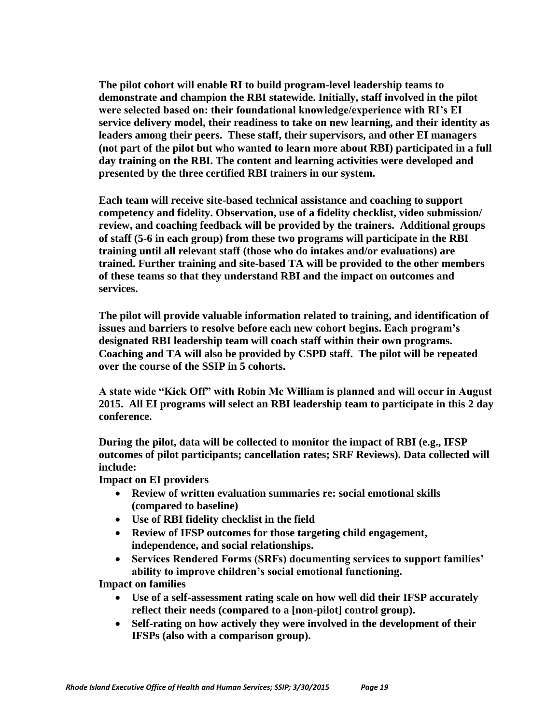**The pilot cohort will enable RI to build program-level leadership teams to demonstrate and champion the RBI statewide. Initially, staff involved in the pilot were selected based on: their foundational knowledge/experience with RI's EI service delivery model, their readiness to take on new learning, and their identity as leaders among their peers. These staff, their supervisors, and other EI managers (not part of the pilot but who wanted to learn more about RBI) participated in a full day training on the RBI. The content and learning activities were developed and presented by the three certified RBI trainers in our system.** 

**Each team will receive site-based technical assistance and coaching to support competency and fidelity. Observation, use of a fidelity checklist, video submission/ review, and coaching feedback will be provided by the trainers. Additional groups of staff (5-6 in each group) from these two programs will participate in the RBI training until all relevant staff (those who do intakes and/or evaluations) are trained. Further training and site-based TA will be provided to the other members of these teams so that they understand RBI and the impact on outcomes and services.** 

**The pilot will provide valuable information related to training, and identification of issues and barriers to resolve before each new cohort begins. Each program's designated RBI leadership team will coach staff within their own programs. Coaching and TA will also be provided by CSPD staff. The pilot will be repeated over the course of the SSIP in 5 cohorts.** 

**A state wide "Kick Off" with Robin Mc William is planned and will occur in August 2015. All EI programs will select an RBI leadership team to participate in this 2 day conference.** 

**During the pilot, data will be collected to monitor the impact of RBI (e.g., IFSP outcomes of pilot participants; cancellation rates; SRF Reviews). Data collected will include:**

**Impact on EI providers**

- **Review of written evaluation summaries re: social emotional skills (compared to baseline)**
- **Use of RBI fidelity checklist in the field**
- **Review of IFSP outcomes for those targeting child engagement, independence, and social relationships.**
- **Services Rendered Forms (SRFs) documenting services to support families' ability to improve children's social emotional functioning.**

**Impact on families**

- **Use of a self-assessment rating scale on how well did their IFSP accurately reflect their needs (compared to a [non-pilot] control group).**
- **Self-rating on how actively they were involved in the development of their IFSPs (also with a comparison group).**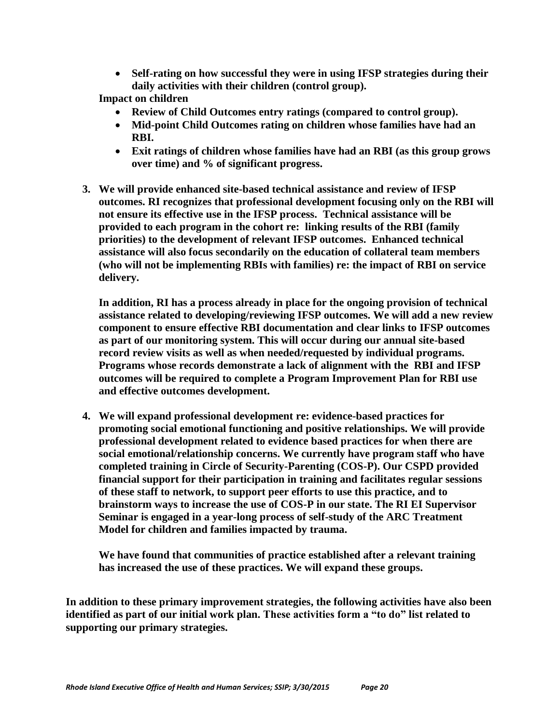**Self-rating on how successful they were in using IFSP strategies during their daily activities with their children (control group).**

**Impact on children**

- **Review of Child Outcomes entry ratings (compared to control group).**
- **Mid-point Child Outcomes rating on children whose families have had an RBI.**
- **Exit ratings of children whose families have had an RBI (as this group grows over time) and % of significant progress.**
- **3. We will provide enhanced site-based technical assistance and review of IFSP outcomes. RI recognizes that professional development focusing only on the RBI will not ensure its effective use in the IFSP process. Technical assistance will be provided to each program in the cohort re: linking results of the RBI (family priorities) to the development of relevant IFSP outcomes. Enhanced technical assistance will also focus secondarily on the education of collateral team members (who will not be implementing RBIs with families) re: the impact of RBI on service delivery.**

**In addition, RI has a process already in place for the ongoing provision of technical assistance related to developing/reviewing IFSP outcomes. We will add a new review component to ensure effective RBI documentation and clear links to IFSP outcomes as part of our monitoring system. This will occur during our annual site-based record review visits as well as when needed/requested by individual programs. Programs whose records demonstrate a lack of alignment with the RBI and IFSP outcomes will be required to complete a Program Improvement Plan for RBI use and effective outcomes development.**

**4. We will expand professional development re: evidence-based practices for promoting social emotional functioning and positive relationships. We will provide professional development related to evidence based practices for when there are social emotional/relationship concerns. We currently have program staff who have completed training in Circle of Security-Parenting (COS-P). Our CSPD provided financial support for their participation in training and facilitates regular sessions of these staff to network, to support peer efforts to use this practice, and to brainstorm ways to increase the use of COS-P in our state. The RI EI Supervisor Seminar is engaged in a year-long process of self-study of the ARC Treatment Model for children and families impacted by trauma.** 

**We have found that communities of practice established after a relevant training has increased the use of these practices. We will expand these groups.**

**In addition to these primary improvement strategies, the following activities have also been identified as part of our initial work plan. These activities form a "to do" list related to supporting our primary strategies.**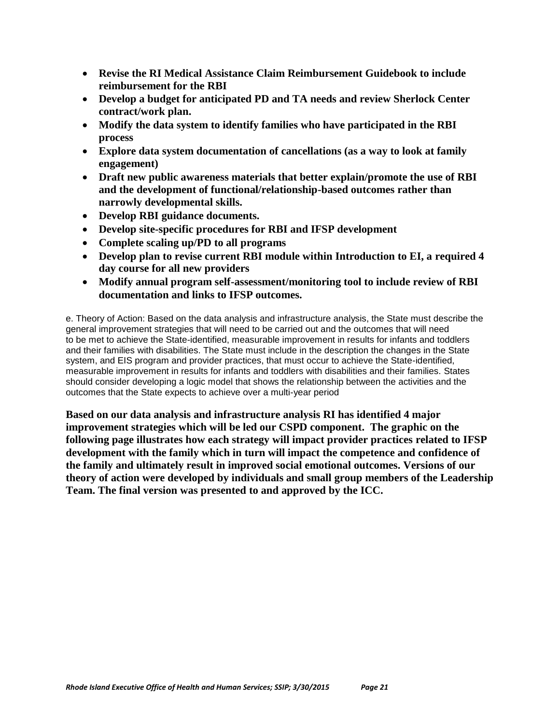- **Revise the RI Medical Assistance Claim Reimbursement Guidebook to include reimbursement for the RBI**
- **Develop a budget for anticipated PD and TA needs and review Sherlock Center contract/work plan.**
- **Modify the data system to identify families who have participated in the RBI process**
- **Explore data system documentation of cancellations (as a way to look at family engagement)**
- **Draft new public awareness materials that better explain/promote the use of RBI and the development of functional/relationship-based outcomes rather than narrowly developmental skills.**
- **Develop RBI guidance documents.**
- **Develop site-specific procedures for RBI and IFSP development**
- **Complete scaling up/PD to all programs**
- **Develop plan to revise current RBI module within Introduction to EI, a required 4 day course for all new providers**
- **Modify annual program self-assessment/monitoring tool to include review of RBI documentation and links to IFSP outcomes.**

e. Theory of Action: Based on the data analysis and infrastructure analysis, the State must describe the general improvement strategies that will need to be carried out and the outcomes that will need to be met to achieve the State-identified, measurable improvement in results for infants and toddlers and their families with disabilities. The State must include in the description the changes in the State system, and EIS program and provider practices, that must occur to achieve the State-identified, measurable improvement in results for infants and toddlers with disabilities and their families. States should consider developing a logic model that shows the relationship between the activities and the outcomes that the State expects to achieve over a multi-year period

**Based on our data analysis and infrastructure analysis RI has identified 4 major improvement strategies which will be led our CSPD component. The graphic on the following page illustrates how each strategy will impact provider practices related to IFSP development with the family which in turn will impact the competence and confidence of the family and ultimately result in improved social emotional outcomes. Versions of our theory of action were developed by individuals and small group members of the Leadership Team. The final version was presented to and approved by the ICC.**